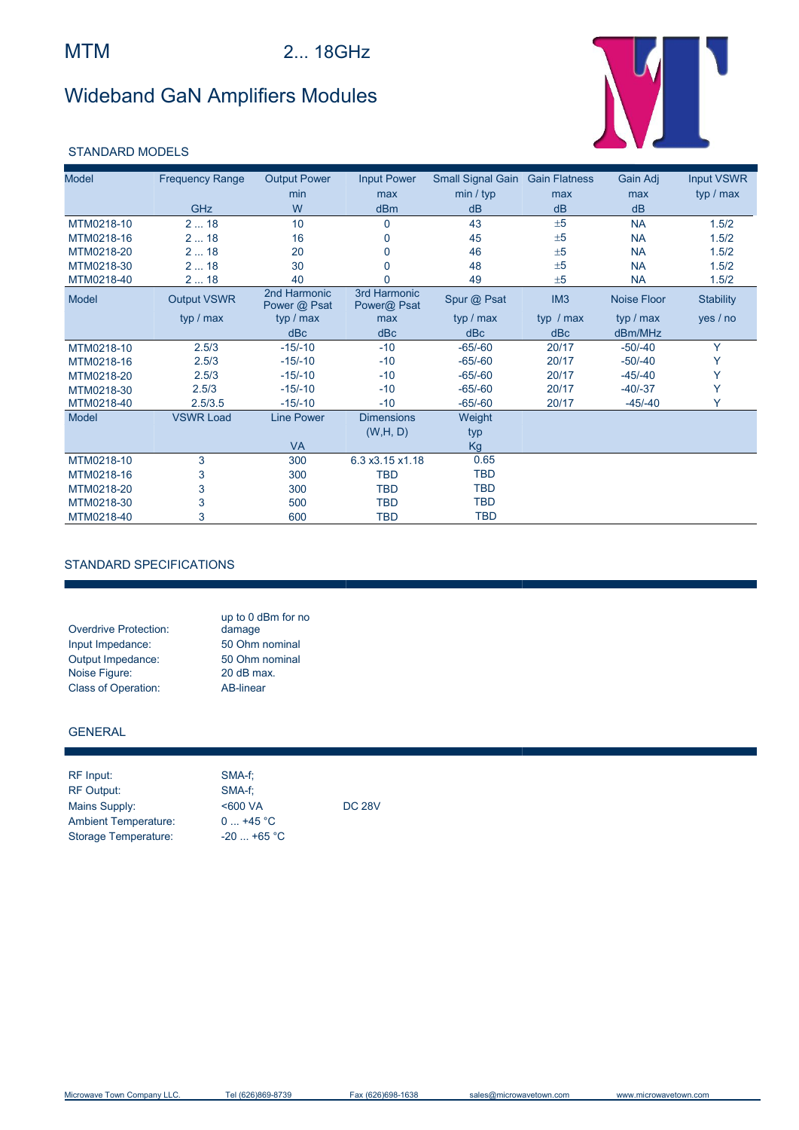# Wideband GaN Amplifiers Modules



### STANDARD MODELS

| <b>Model</b> | <b>Frequency Range</b> | <b>Output Power</b>          | <b>Input Power</b>          | Small Signal Gain | <b>Gain Flatness</b> | Gain Adj    | <b>Input VSWR</b> |
|--------------|------------------------|------------------------------|-----------------------------|-------------------|----------------------|-------------|-------------------|
|              |                        | min                          | max                         | min / typ         | max                  | max         | typ / max         |
|              | <b>GHz</b>             | W                            | dBm                         | dB                | dB                   | dB          |                   |
| MTM0218-10   | 218                    | 10                           | $\mathbf{0}$                | 43                | ±5                   | <b>NA</b>   | 1.5/2             |
| MTM0218-16   | 218                    | 16                           | 0                           | 45                | ±5                   | <b>NA</b>   | 1.5/2             |
| MTM0218-20   | 218                    | 20                           |                             | 46                | ±5                   | <b>NA</b>   | 1.5/2             |
| MTM0218-30   | 218                    | 30                           |                             | 48                | ±5                   | <b>NA</b>   | 1.5/2             |
| MTM0218-40   | 218                    | 40                           |                             | 49                | ±5                   | <b>NA</b>   | 1.5/2             |
| Model        | <b>Output VSWR</b>     | 2nd Harmonic<br>Power @ Psat | 3rd Harmonic<br>Power@ Psat | Spur @ Psat       | IM <sub>3</sub>      | Noise Floor | <b>Stability</b>  |
|              | typ / max              | typ / max                    | max                         | typ / max         | typ $/max$           | typ / max   | yes / no          |
|              |                        | dBc                          | dBc                         | dBc               | dBc                  | dBm/MHz     |                   |
| MTM0218-10   | 2.5/3                  | $-15/-10$                    | $-10$                       | $-65/-60$         | 20/17                | $-50/-40$   | Y                 |
| MTM0218-16   | 2.5/3                  | $-15/-10$                    | $-10$                       | $-65/-60$         | 20/17                | $-50/-40$   | Υ                 |
| MTM0218-20   | 2.5/3                  | $-15/-10$                    | $-10$                       | $-65/-60$         | 20/17                | $-45/ -40$  | Υ                 |
| MTM0218-30   | 2.5/3                  | $-15/-10$                    | $-10$                       | $-65/-60$         | 20/17                | $-40/-37$   | Y                 |
| MTM0218-40   | 2.5/3.5                | $-15/-10$                    | $-10$                       | $-65/-60$         | 20/17                | $-45/-40$   |                   |
| Model        | <b>VSWR Load</b>       | <b>Line Power</b>            | <b>Dimensions</b>           | Weight            |                      |             |                   |
|              |                        |                              | (W,H, D)                    | typ               |                      |             |                   |
|              |                        | <b>VA</b>                    |                             | Kg                |                      |             |                   |
| MTM0218-10   | 3                      | 300                          | 6.3 x3.15 x1.18             | 0.65              |                      |             |                   |
| MTM0218-16   | 3                      | 300                          | <b>TBD</b>                  | <b>TBD</b>        |                      |             |                   |
| MTM0218-20   | 3                      | 300                          | <b>TBD</b>                  | <b>TBD</b>        |                      |             |                   |
| MTM0218-30   | 3                      | 500                          | <b>TBD</b>                  | <b>TBD</b>        |                      |             |                   |
| MTM0218-40   | 3                      | 600                          | <b>TBD</b>                  | <b>TBD</b>        |                      |             |                   |

### STANDARD SPECIFICATIONS

|                              | up to 0 dBm for no |
|------------------------------|--------------------|
| <b>Overdrive Protection:</b> | damage             |
| Input Impedance:             | 50 Ohm nominal     |
| Output Impedance:            | 50 Ohm nominal     |
| Noise Figure:                | 20 dB max.         |
| <b>Class of Operation:</b>   | AB-linear          |

#### GENERAL

| RF Input:                   | SMA-f:       |               |
|-----------------------------|--------------|---------------|
| <b>RF Output:</b>           | SMA-f:       |               |
| Mains Supply:               | <600 VA      | <b>DC 28V</b> |
| <b>Ambient Temperature:</b> | $0+45 °C$    |               |
| Storage Temperature:        | $-20$ +65 °C |               |